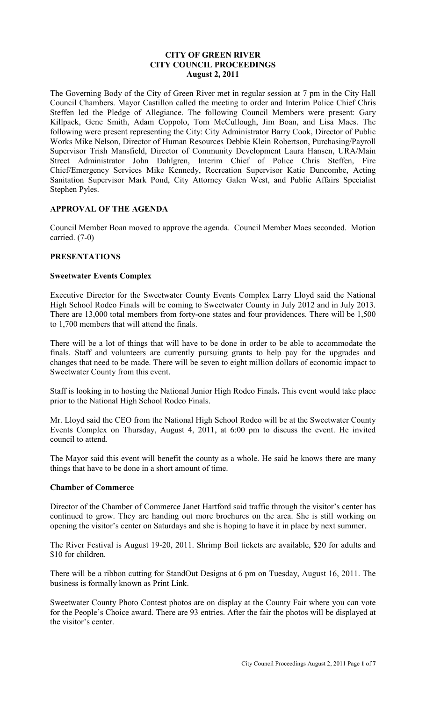# **CITY OF GREEN RIVER CITY COUNCIL PROCEEDINGS August 2, 2011**

The Governing Body of the City of Green River met in regular session at 7 pm in the City Hall Council Chambers. Mayor Castillon called the meeting to order and Interim Police Chief Chris Steffen led the Pledge of Allegiance. The following Council Members were present: Gary Killpack, Gene Smith, Adam Coppolo, Tom McCullough, Jim Boan, and Lisa Maes. The following were present representing the City: City Administrator Barry Cook, Director of Public Works Mike Nelson, Director of Human Resources Debbie Klein Robertson, Purchasing/Payroll Supervisor Trish Mansfield, Director of Community Development Laura Hansen, URA/Main Street Administrator John Dahlgren, Interim Chief of Police Chris Steffen, Fire Chief/Emergency Services Mike Kennedy, Recreation Supervisor Katie Duncombe, Acting Sanitation Supervisor Mark Pond, City Attorney Galen West, and Public Affairs Specialist Stephen Pyles.

# **APPROVAL OF THE AGENDA**

Council Member Boan moved to approve the agenda. Council Member Maes seconded. Motion carried. (7-0)

## **PRESENTATIONS**

## **Sweetwater Events Complex**

Executive Director for the Sweetwater County Events Complex Larry Lloyd said the National High School Rodeo Finals will be coming to Sweetwater County in July 2012 and in July 2013. There are 13,000 total members from forty-one states and four providences. There will be 1,500 to 1,700 members that will attend the finals.

There will be a lot of things that will have to be done in order to be able to accommodate the finals. Staff and volunteers are currently pursuing grants to help pay for the upgrades and changes that need to be made. There will be seven to eight million dollars of economic impact to Sweetwater County from this event.

Staff is looking in to hosting the National Junior High Rodeo Finals**.** This event would take place prior to the National High School Rodeo Finals.

Mr. Lloyd said the CEO from the National High School Rodeo will be at the Sweetwater County Events Complex on Thursday, August 4, 2011, at 6:00 pm to discuss the event. He invited council to attend.

The Mayor said this event will benefit the county as a whole. He said he knows there are many things that have to be done in a short amount of time.

## **Chamber of Commerce**

Director of the Chamber of Commerce Janet Hartford said traffic through the visitor's center has continued to grow. They are handing out more brochures on the area. She is still working on opening the visitor's center on Saturdays and she is hoping to have it in place by next summer.

The River Festival is August 19-20, 2011. Shrimp Boil tickets are available, \$20 for adults and \$10 for children.

There will be a ribbon cutting for StandOut Designs at 6 pm on Tuesday, August 16, 2011. The business is formally known as Print Link.

Sweetwater County Photo Contest photos are on display at the County Fair where you can vote for the People's Choice award. There are 93 entries. After the fair the photos will be displayed at the visitor's center.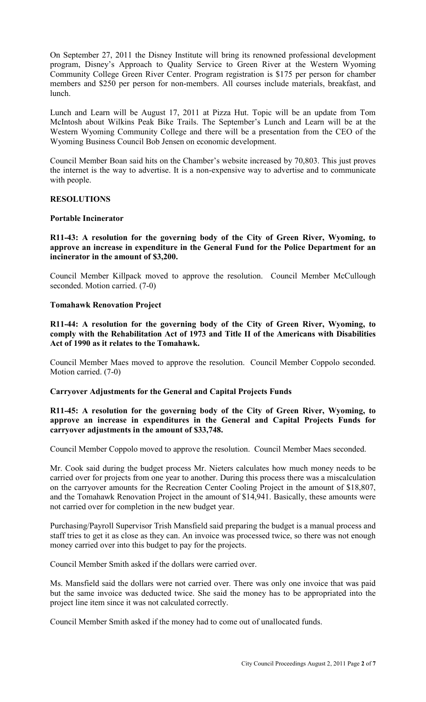On September 27, 2011 the Disney Institute will bring its renowned professional development program, Disney's Approach to Quality Service to Green River at the Western Wyoming Community College Green River Center. Program registration is \$175 per person for chamber members and \$250 per person for non-members. All courses include materials, breakfast, and lunch.

Lunch and Learn will be August 17, 2011 at Pizza Hut. Topic will be an update from Tom McIntosh about Wilkins Peak Bike Trails. The September's Lunch and Learn will be at the Western Wyoming Community College and there will be a presentation from the CEO of the Wyoming Business Council Bob Jensen on economic development.

Council Member Boan said hits on the Chamber's website increased by 70,803. This just proves the internet is the way to advertise. It is a non-expensive way to advertise and to communicate with people.

## **RESOLUTIONS**

#### **Portable Incinerator**

**R11-43: A resolution for the governing body of the City of Green River, Wyoming, to approve an increase in expenditure in the General Fund for the Police Department for an incinerator in the amount of \$3,200.** 

Council Member Killpack moved to approve the resolution. Council Member McCullough seconded. Motion carried. (7-0)

#### **Tomahawk Renovation Project**

**R11-44: A resolution for the governing body of the City of Green River, Wyoming, to comply with the Rehabilitation Act of 1973 and Title II of the Americans with Disabilities Act of 1990 as it relates to the Tomahawk.** 

Council Member Maes moved to approve the resolution. Council Member Coppolo seconded. Motion carried. (7-0)

## **Carryover Adjustments for the General and Capital Projects Funds**

#### **R11-45: A resolution for the governing body of the City of Green River, Wyoming, to approve an increase in expenditures in the General and Capital Projects Funds for carryover adjustments in the amount of \$33,748.**

Council Member Coppolo moved to approve the resolution. Council Member Maes seconded.

Mr. Cook said during the budget process Mr. Nieters calculates how much money needs to be carried over for projects from one year to another. During this process there was a miscalculation on the carryover amounts for the Recreation Center Cooling Project in the amount of \$18,807, and the Tomahawk Renovation Project in the amount of \$14,941. Basically, these amounts were not carried over for completion in the new budget year.

Purchasing/Payroll Supervisor Trish Mansfield said preparing the budget is a manual process and staff tries to get it as close as they can. An invoice was processed twice, so there was not enough money carried over into this budget to pay for the projects.

Council Member Smith asked if the dollars were carried over.

Ms. Mansfield said the dollars were not carried over. There was only one invoice that was paid but the same invoice was deducted twice. She said the money has to be appropriated into the project line item since it was not calculated correctly.

Council Member Smith asked if the money had to come out of unallocated funds.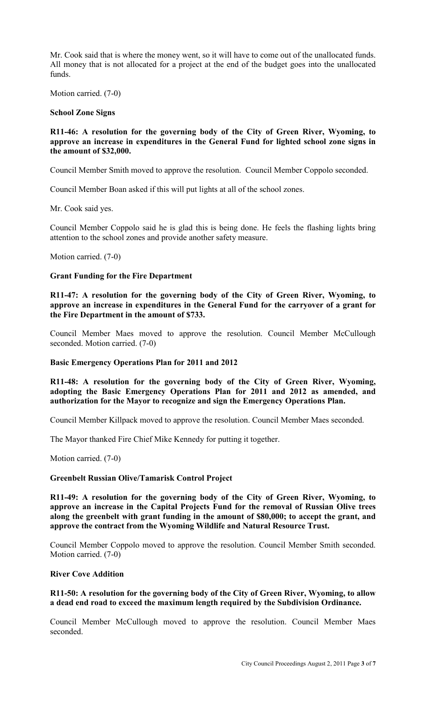Mr. Cook said that is where the money went, so it will have to come out of the unallocated funds. All money that is not allocated for a project at the end of the budget goes into the unallocated funds.

Motion carried. (7-0)

#### **School Zone Signs**

## **R11-46: A resolution for the governing body of the City of Green River, Wyoming, to approve an increase in expenditures in the General Fund for lighted school zone signs in the amount of \$32,000.**

Council Member Smith moved to approve the resolution. Council Member Coppolo seconded.

Council Member Boan asked if this will put lights at all of the school zones.

Mr. Cook said yes.

Council Member Coppolo said he is glad this is being done. He feels the flashing lights bring attention to the school zones and provide another safety measure.

Motion carried. (7-0)

#### **Grant Funding for the Fire Department**

**R11-47: A resolution for the governing body of the City of Green River, Wyoming, to approve an increase in expenditures in the General Fund for the carryover of a grant for the Fire Department in the amount of \$733.** 

Council Member Maes moved to approve the resolution. Council Member McCullough seconded. Motion carried. (7-0)

#### **Basic Emergency Operations Plan for 2011 and 2012**

**R11-48: A resolution for the governing body of the City of Green River, Wyoming, adopting the Basic Emergency Operations Plan for 2011 and 2012 as amended, and authorization for the Mayor to recognize and sign the Emergency Operations Plan.** 

Council Member Killpack moved to approve the resolution. Council Member Maes seconded.

The Mayor thanked Fire Chief Mike Kennedy for putting it together.

Motion carried. (7-0)

## **Greenbelt Russian Olive/Tamarisk Control Project**

**R11-49: A resolution for the governing body of the City of Green River, Wyoming, to approve an increase in the Capital Projects Fund for the removal of Russian Olive trees along the greenbelt with grant funding in the amount of \$80,000; to accept the grant, and approve the contract from the Wyoming Wildlife and Natural Resource Trust.** 

Council Member Coppolo moved to approve the resolution. Council Member Smith seconded. Motion carried. (7-0)

#### **River Cove Addition**

#### **R11-50: A resolution for the governing body of the City of Green River, Wyoming, to allow a dead end road to exceed the maximum length required by the Subdivision Ordinance.**

Council Member McCullough moved to approve the resolution. Council Member Maes seconded.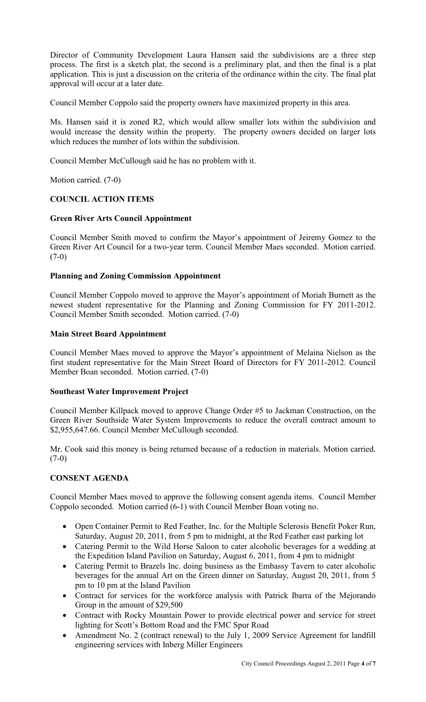Director of Community Development Laura Hansen said the subdivisions are a three step process. The first is a sketch plat, the second is a preliminary plat, and then the final is a plat application. This is just a discussion on the criteria of the ordinance within the city. The final plat approval will occur at a later date.

Council Member Coppolo said the property owners have maximized property in this area.

Ms. Hansen said it is zoned R2, which would allow smaller lots within the subdivision and would increase the density within the property. The property owners decided on larger lots which reduces the number of lots within the subdivision.

Council Member McCullough said he has no problem with it.

Motion carried. (7-0)

# **COUNCIL ACTION ITEMS**

## **Green River Arts Council Appointment**

Council Member Smith moved to confirm the Mayor's appointment of Jeiremy Gomez to the Green River Art Council for a two-year term. Council Member Maes seconded. Motion carried. (7-0)

# **Planning and Zoning Commission Appointment**

Council Member Coppolo moved to approve the Mayor's appointment of Moriah Burnett as the newest student representative for the Planning and Zoning Commission for FY 2011-2012. Council Member Smith seconded. Motion carried. (7-0)

## **Main Street Board Appointment**

Council Member Maes moved to approve the Mayor's appointment of Melaina Nielson as the first student representative for the Main Street Board of Directors for FY 2011-2012. Council Member Boan seconded. Motion carried. (7-0)

## **Southeast Water Improvement Project**

Council Member Killpack moved to approve Change Order #5 to Jackman Construction, on the Green River Southside Water System Improvements to reduce the overall contract amount to \$2,955,647.66. Council Member McCullough seconded.

Mr. Cook said this money is being returned because of a reduction in materials. Motion carried.  $(7-0)$ 

# **CONSENT AGENDA**

Council Member Maes moved to approve the following consent agenda items. Council Member Coppolo seconded. Motion carried (6-1) with Council Member Boan voting no.

- Open Container Permit to Red Feather, Inc. for the Multiple Sclerosis Benefit Poker Run, Saturday, August 20, 2011, from 5 pm to midnight, at the Red Feather east parking lot
- Catering Permit to the Wild Horse Saloon to cater alcoholic beverages for a wedding at the Expedition Island Pavilion on Saturday, August 6, 2011, from 4 pm to midnight
- Catering Permit to Brazels Inc. doing business as the Embassy Tavern to cater alcoholic beverages for the annual Art on the Green dinner on Saturday, August 20, 2011, from 5 pm to 10 pm at the Island Pavilion
- Contract for services for the workforce analysis with Patrick Ibarra of the Mejorando Group in the amount of \$29,500
- Contract with Rocky Mountain Power to provide electrical power and service for street lighting for Scott's Bottom Road and the FMC Spur Road
- Amendment No. 2 (contract renewal) to the July 1, 2009 Service Agreement for landfill engineering services with Inberg Miller Engineers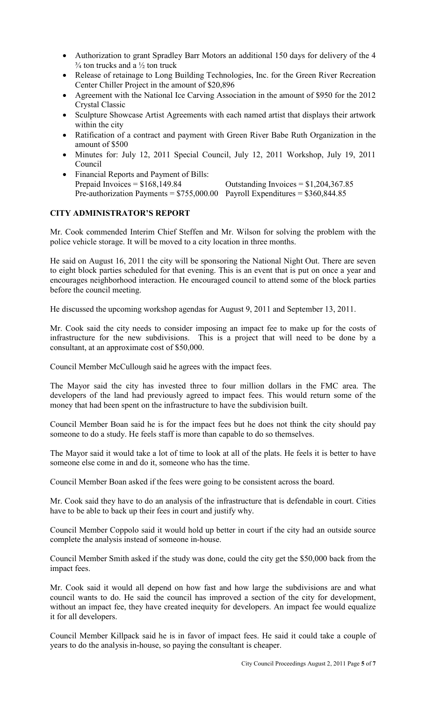- Authorization to grant Spradley Barr Motors an additional 150 days for delivery of the 4  $\frac{3}{4}$  ton trucks and a  $\frac{1}{2}$  ton truck
- Release of retainage to Long Building Technologies, Inc. for the Green River Recreation Center Chiller Project in the amount of \$20,896
- Agreement with the National Ice Carving Association in the amount of \$950 for the 2012 Crystal Classic
- Sculpture Showcase Artist Agreements with each named artist that displays their artwork within the city
- Ratification of a contract and payment with Green River Babe Ruth Organization in the amount of \$500
- Minutes for: July 12, 2011 Special Council, July 12, 2011 Workshop, July 19, 2011 Council
- Financial Reports and Payment of Bills:<br>Prepaid Invoices =  $$168,149.84$ Outstanding Invoices  $= $1,204,367.85$ Pre-authorization Payments =  $$755,000.00$  Payroll Expenditures =  $$360,844.85$

# **CITY ADMINISTRATOR'S REPORT**

Mr. Cook commended Interim Chief Steffen and Mr. Wilson for solving the problem with the police vehicle storage. It will be moved to a city location in three months.

He said on August 16, 2011 the city will be sponsoring the National Night Out. There are seven to eight block parties scheduled for that evening. This is an event that is put on once a year and encourages neighborhood interaction. He encouraged council to attend some of the block parties before the council meeting.

He discussed the upcoming workshop agendas for August 9, 2011 and September 13, 2011.

Mr. Cook said the city needs to consider imposing an impact fee to make up for the costs of infrastructure for the new subdivisions. This is a project that will need to be done by a consultant, at an approximate cost of \$50,000.

Council Member McCullough said he agrees with the impact fees.

The Mayor said the city has invested three to four million dollars in the FMC area. The developers of the land had previously agreed to impact fees. This would return some of the money that had been spent on the infrastructure to have the subdivision built.

Council Member Boan said he is for the impact fees but he does not think the city should pay someone to do a study. He feels staff is more than capable to do so themselves.

The Mayor said it would take a lot of time to look at all of the plats. He feels it is better to have someone else come in and do it, someone who has the time.

Council Member Boan asked if the fees were going to be consistent across the board.

Mr. Cook said they have to do an analysis of the infrastructure that is defendable in court. Cities have to be able to back up their fees in court and justify why.

Council Member Coppolo said it would hold up better in court if the city had an outside source complete the analysis instead of someone in-house.

Council Member Smith asked if the study was done, could the city get the \$50,000 back from the impact fees.

Mr. Cook said it would all depend on how fast and how large the subdivisions are and what council wants to do. He said the council has improved a section of the city for development, without an impact fee, they have created inequity for developers. An impact fee would equalize it for all developers.

Council Member Killpack said he is in favor of impact fees. He said it could take a couple of years to do the analysis in-house, so paying the consultant is cheaper.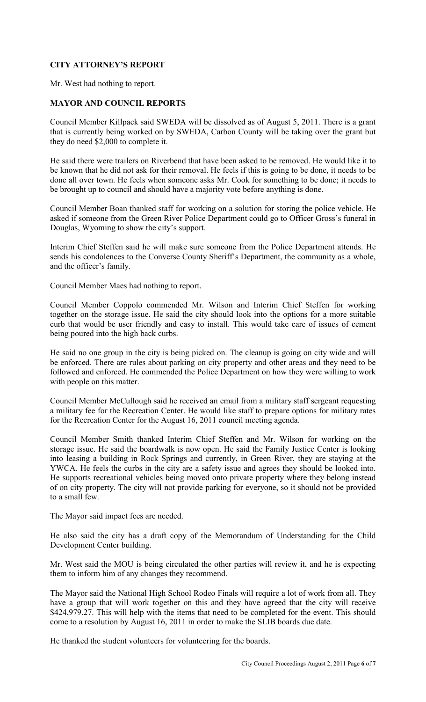# **CITY ATTORNEY'S REPORT**

Mr. West had nothing to report.

# **MAYOR AND COUNCIL REPORTS**

Council Member Killpack said SWEDA will be dissolved as of August 5, 2011. There is a grant that is currently being worked on by SWEDA, Carbon County will be taking over the grant but they do need \$2,000 to complete it.

He said there were trailers on Riverbend that have been asked to be removed. He would like it to be known that he did not ask for their removal. He feels if this is going to be done, it needs to be done all over town. He feels when someone asks Mr. Cook for something to be done; it needs to be brought up to council and should have a majority vote before anything is done.

Council Member Boan thanked staff for working on a solution for storing the police vehicle. He asked if someone from the Green River Police Department could go to Officer Gross's funeral in Douglas, Wyoming to show the city's support.

Interim Chief Steffen said he will make sure someone from the Police Department attends. He sends his condolences to the Converse County Sheriff's Department, the community as a whole, and the officer's family.

Council Member Maes had nothing to report.

Council Member Coppolo commended Mr. Wilson and Interim Chief Steffen for working together on the storage issue. He said the city should look into the options for a more suitable curb that would be user friendly and easy to install. This would take care of issues of cement being poured into the high back curbs.

He said no one group in the city is being picked on. The cleanup is going on city wide and will be enforced. There are rules about parking on city property and other areas and they need to be followed and enforced. He commended the Police Department on how they were willing to work with people on this matter.

Council Member McCullough said he received an email from a military staff sergeant requesting a military fee for the Recreation Center. He would like staff to prepare options for military rates for the Recreation Center for the August 16, 2011 council meeting agenda.

Council Member Smith thanked Interim Chief Steffen and Mr. Wilson for working on the storage issue. He said the boardwalk is now open. He said the Family Justice Center is looking into leasing a building in Rock Springs and currently, in Green River, they are staying at the YWCA. He feels the curbs in the city are a safety issue and agrees they should be looked into. He supports recreational vehicles being moved onto private property where they belong instead of on city property. The city will not provide parking for everyone, so it should not be provided to a small few.

The Mayor said impact fees are needed.

He also said the city has a draft copy of the Memorandum of Understanding for the Child Development Center building.

Mr. West said the MOU is being circulated the other parties will review it, and he is expecting them to inform him of any changes they recommend.

The Mayor said the National High School Rodeo Finals will require a lot of work from all. They have a group that will work together on this and they have agreed that the city will receive \$424,979.27. This will help with the items that need to be completed for the event. This should come to a resolution by August 16, 2011 in order to make the SLIB boards due date.

He thanked the student volunteers for volunteering for the boards.